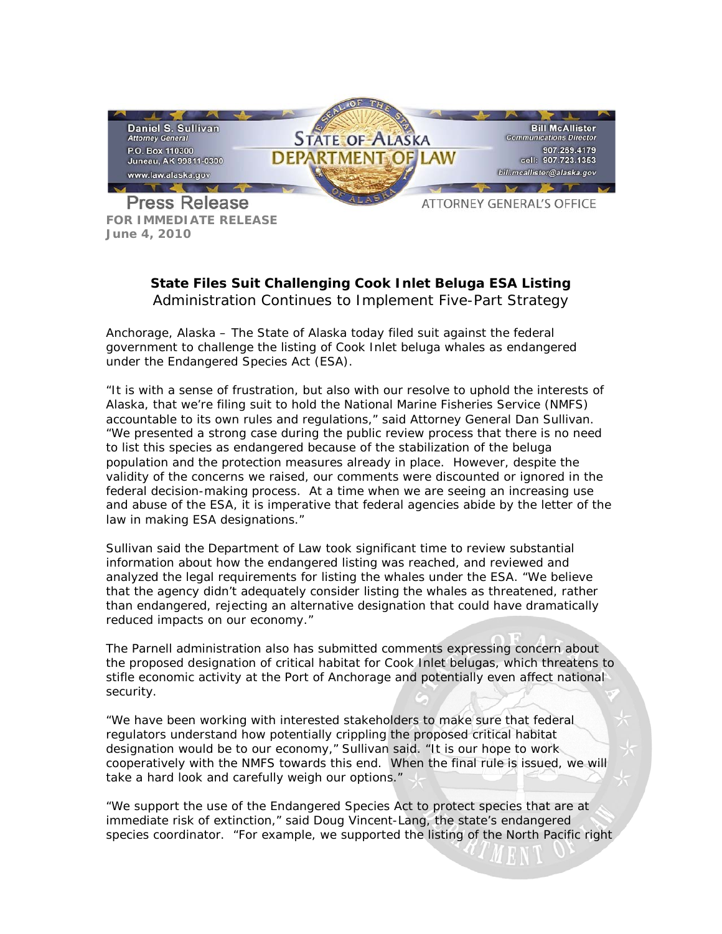

**FOR IMMEDIATE RELEASE June 4, 2010**

## **State Files Suit Challenging Cook Inlet Beluga ESA Listing** *Administration Continues to Implement Five-Part Strategy*

Anchorage, Alaska – The State of Alaska today filed suit against the federal government to challenge the listing of Cook Inlet beluga whales as endangered under the Endangered Species Act (ESA).

"It is with a sense of frustration, but also with our resolve to uphold the interests of Alaska, that we're filing suit to hold the National Marine Fisheries Service (NMFS) accountable to its own rules and regulations," said Attorney General Dan Sullivan. "We presented a strong case during the public review process that there is no need to list this species as endangered because of the stabilization of the beluga population and the protection measures already in place. However, despite the validity of the concerns we raised, our comments were discounted or ignored in the federal decision-making process. At a time when we are seeing an increasing use and abuse of the ESA, it is imperative that federal agencies abide by the letter of the law in making ESA designations."

Sullivan said the Department of Law took significant time to review substantial information about how the endangered listing was reached, and reviewed and analyzed the legal requirements for listing the whales under the ESA. "We believe that the agency didn't adequately consider listing the whales as threatened, rather than endangered, rejecting an alternative designation that could have dramatically reduced impacts on our economy."

The Parnell administration also has submitted comments expressing concern about the proposed designation of critical habitat for Cook Inlet belugas, which threatens to stifle economic activity at the Port of Anchorage and potentially even affect national security.

"We have been working with interested stakeholders to make sure that federal regulators understand how potentially crippling the proposed critical habitat designation would be to our economy," Sullivan said. "It is our hope to work cooperatively with the NMFS towards this end. When the final rule is issued, we will take a hard look and carefully weigh our options."

"We support the use of the Endangered Species Act to protect species that are at immediate risk of extinction," said Doug Vincent-Lang, the state's endangered species coordinator. "For example, we supported the listing of the North Pacific right